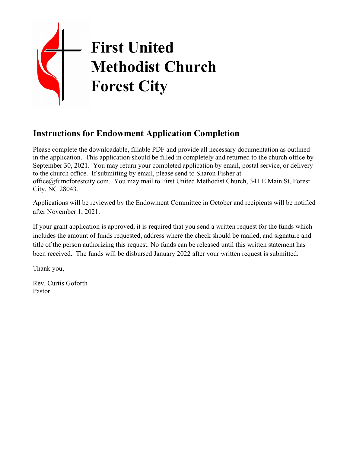# **First United Methodist Church Forest City**

# **Instructions for Endowment Application Completion**

Please complete the downloadable, fillable PDF and provide all necessary documentation as outlined in the application. This application should be filled in completely and returned to the church office by September 30, 2021. You may return your completed application by email, postal service, or delivery to the church office. If submitting by email, please send to Sharon Fisher at [office@fumcforestcity.com.](mailto:office@fumcforestcity.com) You may mail to First United Methodist Church, 341 E Main St, Forest City, NC 28043.

Applications will be reviewed by the Endowment Committee in October and recipients will be notified after November 1, 2021.

If your grant application is approved, it is required that you send a written request for the funds which includes the amount of funds requested, address where the check should be mailed, and signature and title of the person authorizing this request. No funds can be released until this written statement has been received. The funds will be disbursed January 2022 after your written request is submitted.

Thank you,

Rev. Curtis Goforth Pastor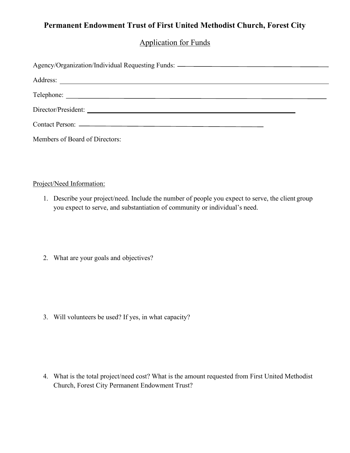#### **Permanent Endowment Trust of First United Methodist Church, Forest City**

## Application for Funds

| Agency/Organization/Individual Requesting Funds: ——————————————————————————————— |  |
|----------------------------------------------------------------------------------|--|
|                                                                                  |  |
|                                                                                  |  |
|                                                                                  |  |
|                                                                                  |  |
| Members of Board of Directors:                                                   |  |

#### Project/Need Information:

- 1. Describe your project/need. Include the number of people you expect to serve, the client group you expect to serve, and substantiation of community or individual's need.
- 2. What are your goals and objectives?

3. Will volunteers be used? If yes, in what capacity?

4. What is the total project/need cost? What is the amount requested from First United Methodist Church, Forest City Permanent Endowment Trust?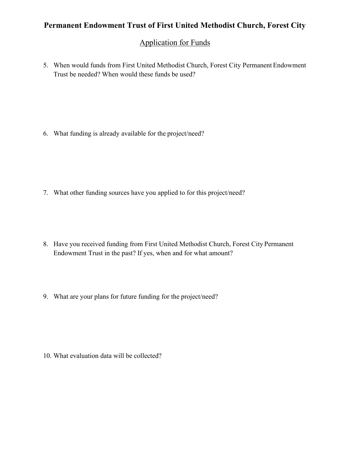#### **Permanent Endowment Trust of First United Methodist Church, Forest City**

## Application for Funds

5. When would funds from First United Methodist Church, Forest City Permanent Endowment Trust be needed? When would these funds be used?

6. What funding is already available for the project/need?

- 7. What other funding sources have you applied to for this project/need?
- 8. Have you received funding from First United Methodist Church, Forest City Permanent Endowment Trust in the past? If yes, when and for what amount?
- 9. What are your plans for future funding for the project/need?

10. What evaluation data will be collected?